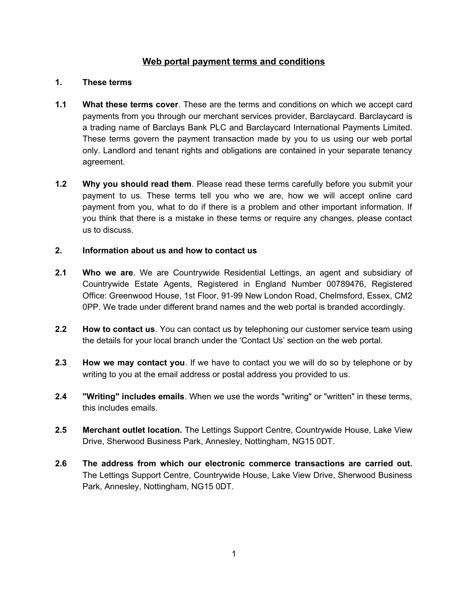# **Web portal payment terms and conditions**

#### **1. These terms**

- **1.1 What these terms cover**. These are the terms and conditions on which we accept card payments from you through our merchant services provider, Barclaycard. Barclaycard is a trading name of Barclays Bank PLC and Barclaycard International Payments Limited. These terms govern the payment transaction made by you to us using our web portal only. Landlord and tenant rights and obligations are contained in your separate tenancy agreement.
- **1.2 Why you should read them**. Please read these terms carefully before you submit your payment to us. These terms tell you who we are, how we will accept online card payment from you, what to do if there is a problem and other important information. If you think that there is a mistake in these terms or require any changes, please contact us to discuss.

### **2. Information about us and how to contact us**

- **2.1 Who we are**. We are Countrywide Residential Lettings, an agent and subsidiary of Countrywide Estate Agents, Registered in England Number 00789476, Registered Office: Greenwood House, 1st Floor, 91-99 New London Road, Chelmsford, Essex, CM2 0PP. We trade under different brand names and the web portal is branded accordingly.
- **2.2 How to contact us**. You can contact us by telephoning our customer service team using the details for your local branch under the 'Contact Us' section on the web portal.
- **2.3 How we may contact you**. If we have to contact you we will do so by telephone or by writing to you at the email address or postal address you provided to us.
- **2.4 "Writing" includes emails**. When we use the words "writing" or "written" in these terms, this includes emails.
- **2.5 Merchant outlet location.** The Lettings Support Centre, Countrywide House, Lake View Drive, Sherwood Business Park, Annesley, Nottingham, NG15 0DT.
- **2.6 The address from which our electronic commerce transactions are carried out.** The Lettings Support Centre, Countrywide House, Lake View Drive, Sherwood Business Park, Annesley, Nottingham, NG15 0DT.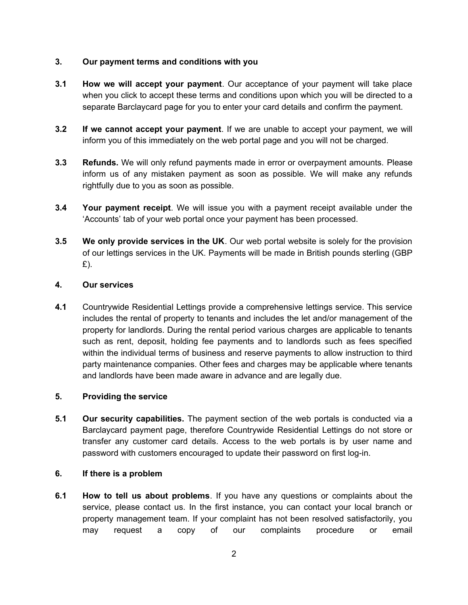#### **3. Our payment terms and conditions with you**

- **3.1 How we will accept your payment**. Our acceptance of your payment will take place when you click to accept these terms and conditions upon which you will be directed to a separate Barclaycard page for you to enter your card details and confirm the payment.
- **3.2 If we cannot accept your payment**. If we are unable to accept your payment, we will inform you of this immediately on the web portal page and you will not be charged.
- **3.3 Refunds.** We will only refund payments made in error or overpayment amounts. Please inform us of any mistaken payment as soon as possible. We will make any refunds rightfully due to you as soon as possible.
- **3.4 Your payment receipt**. We will issue you with a payment receipt available under the 'Accounts' tab of your web portal once your payment has been processed.
- **3.5 We only provide services in the UK**. Our web portal website is solely for the provision of our lettings services in the UK. Payments will be made in British pounds sterling (GBP £).

#### **4. Our services**

**4.1** Countrywide Residential Lettings provide a comprehensive lettings service. This service includes the rental of property to tenants and includes the let and/or management of the property for landlords. During the rental period various charges are applicable to tenants such as rent, deposit, holding fee payments and to landlords such as fees specified within the individual terms of business and reserve payments to allow instruction to third party maintenance companies. Other fees and charges may be applicable where tenants and landlords have been made aware in advance and are legally due.

## **5. Providing the service**

**5.1 Our security capabilities.** The payment section of the web portals is conducted via a Barclaycard payment page, therefore Countrywide Residential Lettings do not store or transfer any customer card details. Access to the web portals is by user name and password with customers encouraged to update their password on first log-in.

#### **6. If there is a problem**

**6.1 How to tell us about problems**. If you have any questions or complaints about the service, please contact us. In the first instance, you can contact your local branch or property management team. If your complaint has not been resolved satisfactorily, you may request a copy of our complaints procedure or email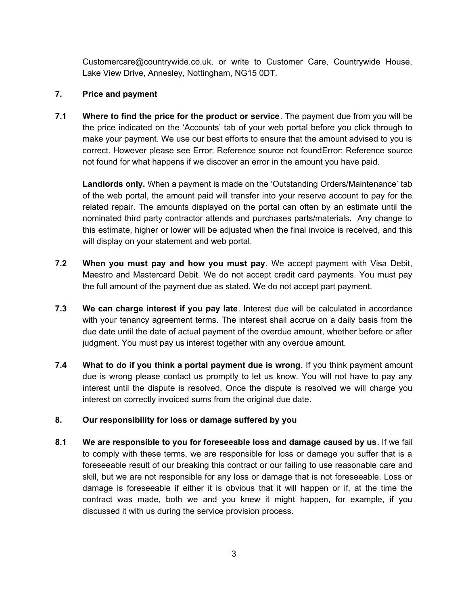Customercare@countrywide.co.uk, or write to Customer Care, Countrywide House, Lake View Drive, Annesley, Nottingham, NG15 0DT.

#### **7. Price and payment**

**7.1 Where to find the price for the product or service**. The payment due from you will be the price indicated on the 'Accounts' tab of your web portal before you click through to make your payment. We use our best efforts to ensure that the amount advised to you is correct. However please see [Error: Reference source not found](#page-2-0)[Error: Reference source](#page-2-1) [not found](#page-2-1) for what happens if we discover an error in the amount you have paid.

<span id="page-2-1"></span><span id="page-2-0"></span>**Landlords only.** When a payment is made on the 'Outstanding Orders/Maintenance' tab of the web portal, the amount paid will transfer into your reserve account to pay for the related repair. The amounts displayed on the portal can often by an estimate until the nominated third party contractor attends and purchases parts/materials. Any change to this estimate, higher or lower will be adjusted when the final invoice is received, and this will display on your statement and web portal.

- **7.2 When you must pay and how you must pay**. We accept payment with Visa Debit, Maestro and Mastercard Debit. We do not accept credit card payments. You must pay the full amount of the payment due as stated. We do not accept part payment.
- **7.3 We can charge interest if you pay late**. Interest due will be calculated in accordance with your tenancy agreement terms. The interest shall accrue on a daily basis from the due date until the date of actual payment of the overdue amount, whether before or after judgment. You must pay us interest together with any overdue amount.
- **7.4 What to do if you think a portal payment due is wrong**. If you think payment amount due is wrong please contact us promptly to let us know. You will not have to pay any interest until the dispute is resolved. Once the dispute is resolved we will charge you interest on correctly invoiced sums from the original due date.

## **8. Our responsibility for loss or damage suffered by you**

**8.1 We are responsible to you for foreseeable loss and damage caused by us**. If we fail to comply with these terms, we are responsible for loss or damage you suffer that is a foreseeable result of our breaking this contract or our failing to use reasonable care and skill, but we are not responsible for any loss or damage that is not foreseeable. Loss or damage is foreseeable if either it is obvious that it will happen or if, at the time the contract was made, both we and you knew it might happen, for example, if you discussed it with us during the service provision process.